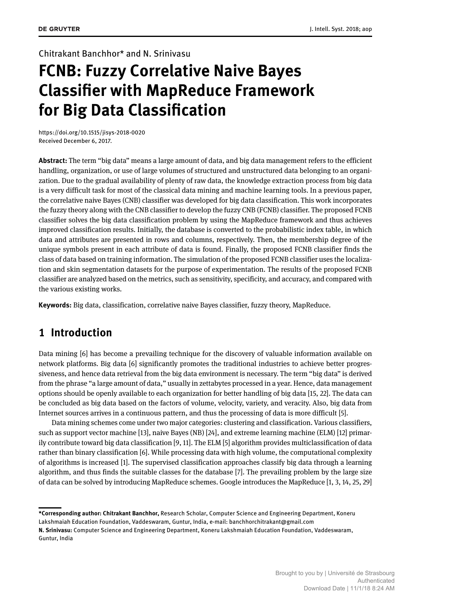#### Chitrakant Banchhor\* and N. Srinivasu

# **FCNB: Fuzzy Correlative Naive Bayes Classifier with MapReduce Framework for Big Data Classification**

https://doi.org/10.1515/jisys-2018-0020 Received December 6, 2017.

Abstract: The term "big data" means a large amount of data, and big data management refers to the efficient handling, organization, or use of large volumes of structured and unstructured data belonging to an organization. Due to the gradual availability of plenty of raw data, the knowledge extraction process from big data is a very difficult task for most of the classical data mining and machine learning tools. In a previous paper, the correlative naive Bayes (CNB) classifier was developed for big data classification. This work incorporates the fuzzy theory along with the CNB classifier to develop the fuzzy CNB (FCNB) classifier. The proposed FCNB classifier solves the big data classification problem by using the MapReduce framework and thus achieves improved classification results. Initially, the database is converted to the probabilistic index table, in which data and attributes are presented in rows and columns, respectively. Then, the membership degree of the unique symbols present in each attribute of data is found. Finally, the proposed FCNB classifier finds the class of data based on training information. The simulation of the proposed FCNB classifier uses the localization and skin segmentation datasets for the purpose of experimentation. The results of the proposed FCNB classifier are analyzed based on the metrics, such as sensitivity, specificity, and accuracy, and compared with the various existing works.

**Keywords:** Big data, classification, correlative naive Bayes classifier, fuzzy theory, MapReduce.

# **1 Introduction**

Data mining [6] has become a prevailing technique for the discovery of valuable information available on network platforms. Big data [6] significantly promotes the traditional industries to achieve better progressiveness, and hence data retrieval from the big data environment is necessary. The term "big data" is derived from the phrase "a large amount of data," usually in zettabytes processed in a year. Hence, data management options should be openly available to each organization for better handling of big data [15, 22]. The data can be concluded as big data based on the factors of volume, velocity, variety, and veracity. Also, big data from Internet sources arrives in a continuous pattern, and thus the processing of data is more difficult [5].

Data mining schemes come under two major categories: clustering and classification. Various classifiers, such as support vector machine [13], naive Bayes (NB) [24], and extreme learning machine (ELM) [12] primarily contribute toward big data classification [9, 11]. The ELM [5] algorithm provides multiclassification of data rather than binary classification [6]. While processing data with high volume, the computational complexity of algorithms is increased [1]. The supervised classification approaches classify big data through a learning algorithm, and thus finds the suitable classes for the database [7]. The prevailing problem by the large size of data can be solved by introducing MapReduce schemes. Google introduces the MapReduce [1, 3, 14, 25, 29]

**<sup>\*</sup>Corresponding author: Chitrakant Banchhor,** Research Scholar, Computer Science and Engineering Department, Koneru Lakshmaiah Education Foundation, Vaddeswaram, Guntur, India, e-mail: banchhorchitrakant@gmail.com

**N. Srinivasu:** Computer Science and Engineering Department, Koneru Lakshmaiah Education Foundation, Vaddeswaram, Guntur, India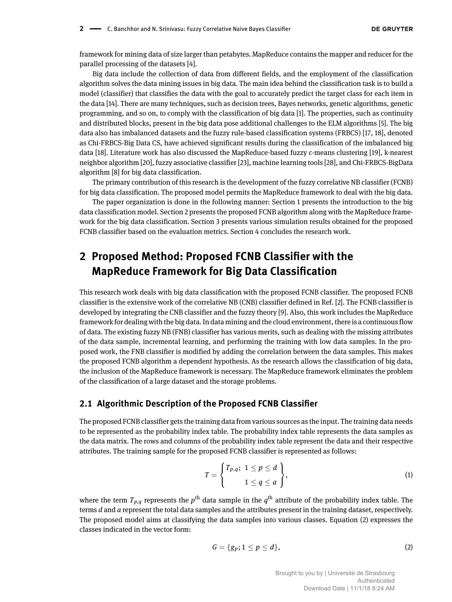framework for mining data of size larger than petabytes. MapReduce contains the mapper and reducer for the parallel processing of the datasets [4].

Big data include the collection of data from different fields, and the employment of the classification algorithm solves the data mining issues in big data. The main idea behind the classification task is to build a model (classifier) that classifies the data with the goal to accurately predict the target class for each item in the data [14]. There are many techniques, such as decision trees, Bayes networks, genetic algorithms, genetic programming, and so on, to comply with the classification of big data [1]. The properties, such as continuity and distributed blocks, present in the big data pose additional challenges to the ELM algorithms [5]. The big data also has imbalanced datasets and the fuzzy rule-based classification systems (FRBCS) [17, 18], denoted as Chi-FRBCS-Big Data CS, have achieved significant results during the classification of the imbalanced big data [18]. Literature work has also discussed the MapReduce-based fuzzy c-means clustering [19], k-nearest neighbor algorithm [20], fuzzy associative classifier [23], machine learning tools [28], and Chi-FRBCS-BigData algorithm [8] for big data classification.

The primary contribution of this research is the development of the fuzzy correlative NB classifier (FCNB) for big data classification. The proposed model permits the MapReduce framework to deal with the big data.

The paper organization is done in the following manner: Section 1 presents the introduction to the big data classification model. Section 2 presents the proposed FCNB algorithm along with the MapReduce framework for the big data classification. Section 3 presents various simulation results obtained for the proposed FCNB classifier based on the evaluation metrics. Section 4 concludes the research work.

# **2 Proposed Method: Proposed FCNB Classifier with the MapReduce Framework for Big Data Classification**

This research work deals with big data classification with the proposed FCNB classifier. The proposed FCNB classifier is the extensive work of the correlative NB (CNB) classifier defined in Ref. [2]. The FCNB classifier is developed by integrating the CNB classifier and the fuzzy theory [9]. Also, this work includes the MapReduce framework for dealing with the big data. In data mining and the cloud environment, there is a continuous flow of data. The existing fuzzy NB (FNB) classifier has various merits, such as dealing with the missing attributes of the data sample, incremental learning, and performing the training with low data samples. In the proposed work, the FNB classifier is modified by adding the correlation between the data samples. This makes the proposed FCNB algorithm a dependent hypothesis. As the research allows the classification of big data, the inclusion of the MapReduce framework is necessary. The MapReduce framework eliminates the problem of the classification of a large dataset and the storage problems.

#### **2.1 Algorithmic Description of the Proposed FCNB Classifier**

The proposed FCNB classifier gets the training data from various sources as the input. The training data needs to be represented as the probability index table. The probability index table represents the data samples as the data matrix. The rows and columns of the probability index table represent the data and their respective attributes. The training sample for the proposed FCNB classifier is represented as follows:

$$
T = \begin{Bmatrix} T_{p,q}; & 1 \leq p \leq d \\ & 1 \leq q \leq a \end{Bmatrix},
$$
 (1)

where the term  $T_{p,q}$  represents the  $p^{\rm th}$  data sample in the  $q^{\rm th}$  attribute of the probability index table. The terms *d* and *a* represent the total data samples and the attributes present in the training dataset, respectively. The proposed model aims at classifying the data samples into various classes. Equation (2) expresses the classes indicated in the vector form:

$$
G = \{g_p; 1 \le p \le d\},\tag{2}
$$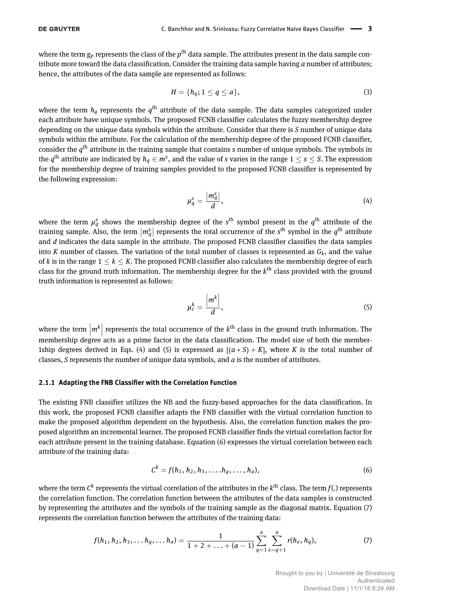where the term  $g_p$  represents the class of the  $p^{\rm th}$  data sample. The attributes present in the data sample contribute more toward the data classification. Consider the training data sample having *a* number of attributes; hence, the attributes of the data sample are represented as follows:

$$
H = \{h_q; 1 \le q \le a\},\tag{3}
$$

where the term  $h_q$  represents the  $q^\mathrm{th}$  attribute of the data sample. The data samples categorized under each attribute have unique symbols. The proposed FCNB classifier calculates the fuzzy membership degree depending on the unique data symbols within the attribute. Consider that there is *S* number of unique data symbols within the attribute. For the calculation of the membership degree of the proposed FCNB classifier, consider the  $q^{\text{th}}$  attribute in the training sample that contains *s* number of unique symbols. The symbols in the  $q^{\text{th}}$  attribute are indicated by  $h_q\in m^s,$  and the value of  $s$  varies in the range 1  $\leq$   $s\leq$  S. The expression for the membership degree of training samples provided to the proposed FCNB classifier is represented by the following expression:

$$
\mu_q^s = \frac{|m_q^s|}{d},\tag{4}
$$

where the term  $\mu_q^s$  shows the membership degree of the  $s^{\text{th}}$  symbol present in the  $q^{\text{th}}$  attribute of the training sample. Also, the term  $|m_q^s|$  represents the total occurrence of the *s*<sup>th</sup> symbol in the *q*<sup>th</sup> attribute and *d* indicates the data sample in the attribute. The proposed FCNB classifier classifies the data samples into *K* number of classes. The variation of the total number of classes is represented as *G<sup>k</sup>* , and the value of *k* is in the range  $1 \le k \le K$ . The proposed FCNB classifier also calculates the membership degree of each class for the ground truth information. The membership degree for the *k*<sup>th</sup> class provided with the ground truth information is represented as follows:

$$
\mu_c^k = \frac{|m^k|}{d},\tag{5}
$$

where the term  $\left|m^k\right|$  represents the total occurrence of the  $k^{\text{th}}$  class in the ground truth information. The membership degree acts as a prime factor in the data classification. The model size of both the member-1ship degrees derived in Eqs. (4) and (5) is expressed as  $[(a * S) + K]$ , where *K* is the total number of classes, *S* represents the number of unique data symbols, and *a* is the number of attributes.

#### **2.1.1 Adapting the FNB Classifier with the Correlation Function**

The existing FNB classifier utilizes the NB and the fuzzy-based approaches for the data classification. In this work, the proposed FCNB classifier adapts the FNB classifier with the virtual correlation function to make the proposed algorithm dependent on the hypothesis. Also, the correlation function makes the proposed algorithm an incremental learner. The proposed FCNB classifier finds the virtual correlation factor for each attribute present in the training database. Equation (6) expresses the virtual correlation between each attribute of the training data:

$$
C^k = f(h_1, h_2, h_3, \dots, h_q, \dots, h_a), \tag{6}
$$

where the term  $C^k$  represents the virtual correlation of the attributes in the  $k^{\rm th}$  class. The term  $f(.)$  represents the correlation function. The correlation function between the attributes of the data samples is constructed by representing the attributes and the symbols of the training sample as the diagonal matrix. Equation (7) represents the correlation function between the attributes of the training data:

$$
f(h_1, h_2, h_3, \ldots h_q, \ldots h_a) = \frac{1}{1 + 2 + \ldots + (a - 1)} \sum_{q=1}^a \sum_{s=q+1}^a r(h_e, h_q), \qquad (7)
$$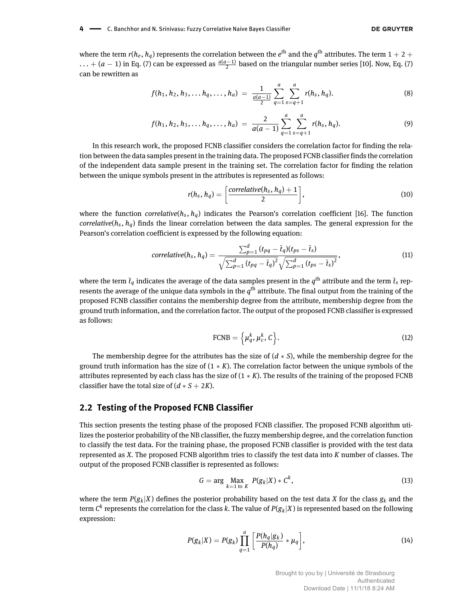where the term  $r(h_e,h_q)$  represents the correlation between the  $e^{\rm th}$  and the  $q^{\rm th}$  attributes. The term 1 + 2 + *...* + (*a* − 1) in Eq. (7) can be expressed as  $\frac{a(a-1)}{2}$  based on the triangular number series [10]. Now, Eq. (7) can be rewritten as

$$
f(h_1, h_2, h_3, \ldots, h_q, \ldots, h_a) = \frac{1}{\frac{a(a-1)}{2}} \sum_{q=1}^a \sum_{s=q+1}^a r(h_s, h_q).
$$
 (8)

$$
f(h_1, h_2, h_3, \ldots, h_q, \ldots, h_a) = \frac{2}{a(a-1)} \sum_{q=1}^a \sum_{s=q+1}^a r(h_s, h_q).
$$
 (9)

In this research work, the proposed FCNB classifier considers the correlation factor for finding the relation between the data samples present in the training data. The proposed FCNB classifier finds the correlation of the independent data sample present in the training set. The correlation factor for finding the relation between the unique symbols present in the attributes is represented as follows:

$$
r(h_s, h_q) = \left[\frac{\text{correlative}(h_s, h_q) + 1}{2}\right],\tag{10}
$$

where the function *correlative*( $h_s$ ,  $h_q$ ) indicates the Pearson's correlation coefficient [16]. The function *correlative*( $h_s$ ,  $h_q$ ) finds the linear correlation between the data samples. The general expression for the Pearson's correlation coefficient is expressed by the following equation:

correlative
$$
(h_s, h_q) = \frac{\sum_{p=1}^d (t_{pq} - \bar{t}_q)(t_{ps} - \bar{t}_s)}{\sqrt{\sum_{p=1}^d (t_{pq} - \bar{t}_q)^2} \sqrt{\sum_{p=1}^d (t_{ps} - \bar{t}_s)^2}},
$$
 (11)

where the term  $\bar{t}_q$  indicates the average of the data samples present in the  $q^{\rm th}$  attribute and the term  $\bar{t}_s$  represents the average of the unique data symbols in the *q* th attribute. The final output from the training of the proposed FCNB classifier contains the membership degree from the attribute, membership degree from the ground truth information, and the correlation factor. The output of the proposed FCNB classifier is expressed as follows:

$$
\text{FCNB} = \left\{ \mu_q^k, \mu_c^k, C \right\}. \tag{12}
$$

The membership degree for the attributes has the size of (*d* ∗ *S*), while the membership degree for the ground truth information has the size of  $(1 * K)$ . The correlation factor between the unique symbols of the attributes represented by each class has the size of (1 ∗ *K*). The results of the training of the proposed FCNB classifier have the total size of  $(d * S + 2K)$ .

#### **2.2 Testing of the Proposed FCNB Classifier**

This section presents the testing phase of the proposed FCNB classifier. The proposed FCNB algorithm utilizes the posterior probability of the NB classifier, the fuzzy membership degree, and the correlation function to classify the test data. For the training phase, the proposed FCNB classifier is provided with the test data represented as *X*. The proposed FCNB algorithm tries to classify the test data into *K* number of classes. The output of the proposed FCNB classifier is represented as follows:

$$
G = \arg \max_{k=1 \text{ to } K} P(g_k|X) * C^k,
$$
\n(13)

where the term  $P(g_k|X)$  defines the posterior probability based on the test data  $X$  for the class  $g_k$  and the term  $\mathcal{C}^k$  represents the correlation for the class  $k.$  The value of  $P(g_k|X)$  is represented based on the following expression:

$$
P(g_k|X) = P(g_k) \prod_{q=1}^{a} \left[ \frac{P(h_q|g_k)}{P(h_q)} * \mu_q \right],
$$
\n(14)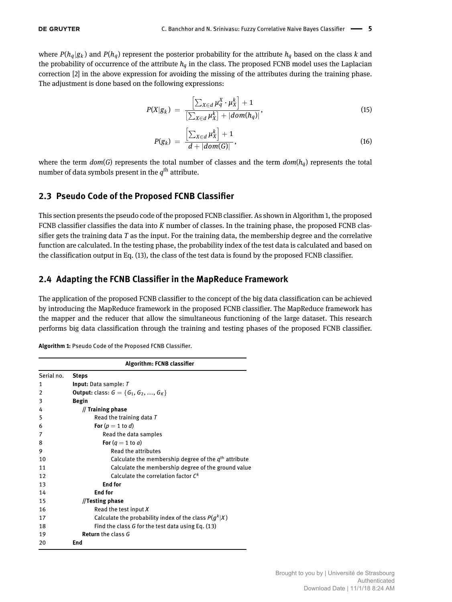where *P*(*hq*|*g<sup>k</sup>* ) and *P*(*hq*) represent the posterior probability for the attribute *h<sup>q</sup>* based on the class *k* and the probability of occurrence of the attribute *h<sup>q</sup>* in the class. The proposed FCNB model uses the Laplacian correction [2] in the above expression for avoiding the missing of the attributes during the training phase. The adjustment is done based on the following expressions:

$$
P(X|g_k) = \frac{\left[\sum_{X \in d} \mu_q^X \cdot \mu_X^k\right] + 1}{\left[\sum_{X \in d} \mu_X^k\right] + |dom(h_q)|},\tag{15}
$$

$$
P(g_k) = \frac{\left[\sum_{X \in d} \mu_X^k\right] + 1}{d + |dom(G)|},\tag{16}
$$

where the term *dom*(*G*) represents the total number of classes and the term *dom*(*hq*) represents the total number of data symbols present in the  $q^{\rm th}$  attribute.

#### **2.3 Pseudo Code of the Proposed FCNB Classifier**

This section presents the pseudo code of the proposed FCNB classifier. As shown in Algorithm 1, the proposed FCNB classifier classifies the data into *K* number of classes. In the training phase, the proposed FCNB classifier gets the training data *T* as the input. For the training data, the membership degree and the correlative function are calculated. In the testing phase, the probability index of the test data is calculated and based on the classification output in Eq. (13), the class of the test data is found by the proposed FCNB classifier.

#### **2.4 Adapting the FCNB Classifier in the MapReduce Framework**

The application of the proposed FCNB classifier to the concept of the big data classification can be achieved by introducing the MapReduce framework in the proposed FCNB classifier. The MapReduce framework has the mapper and the reducer that allow the simultaneous functioning of the large dataset. This research performs big data classification through the training and testing phases of the proposed FCNB classifier.

**Algorithm 1:** Pseudo Code of the Proposed FCNB Classifier.

| <b>Algorithm: FCNB classifier</b> |                                                         |  |
|-----------------------------------|---------------------------------------------------------|--|
| Serial no.                        | <b>Steps</b>                                            |  |
| 1                                 | <b>Input:</b> Data sample: T                            |  |
| 2                                 | <b>Output:</b> class: $G = \{G_1, G_2, , G_K\}$         |  |
| 3                                 | Begin                                                   |  |
| 4                                 | $//$ Training phase                                     |  |
| 5                                 | Read the training data T                                |  |
| 6                                 | For $(p = 1$ to d)                                      |  |
| 7                                 | Read the data samples                                   |  |
| 8                                 | For $(q = 1$ to a)                                      |  |
| 9                                 | Read the attributes                                     |  |
| 10                                | Calculate the membership degree of the $qth$ attribute  |  |
| 11                                | Calculate the membership degree of the ground value     |  |
| 12                                | Calculate the correlation factor $Ck$                   |  |
| 13                                | <b>End for</b>                                          |  |
| 14                                | <b>End for</b>                                          |  |
| 15                                | //Testing phase                                         |  |
| 16                                | Read the test input $X$                                 |  |
| 17                                | Calculate the probability index of the class $P(g^k X)$ |  |
| 18                                | Find the class G for the test data using Eq. (13)       |  |
| 19                                | <b>Return</b> the class G                               |  |
| 20                                | End                                                     |  |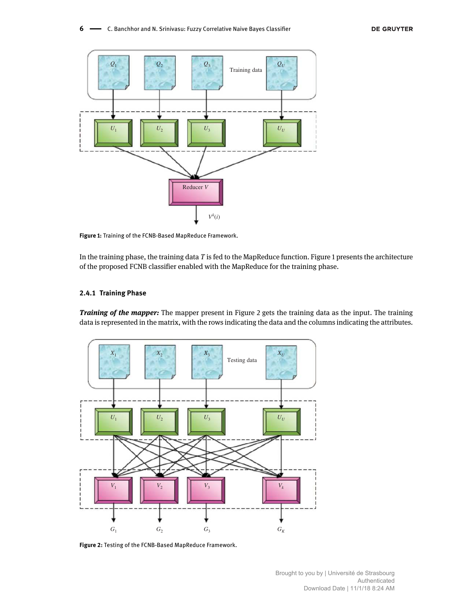

**Figure 1:** Training of the FCNB-Based MapReduce Framework.

In the training phase, the training data *T* is fed to the MapReduce function. Figure 1 presents the architecture of the proposed FCNB classifier enabled with the MapReduce for the training phase.

#### **2.4.1 Training Phase**

*Training of the mapper:* The mapper present in Figure 2 gets the training data as the input. The training data is represented in the matrix, with the rows indicating the data and the columns indicating the attributes.



**Figure 2:** Testing of the FCNB-Based MapReduce Framework.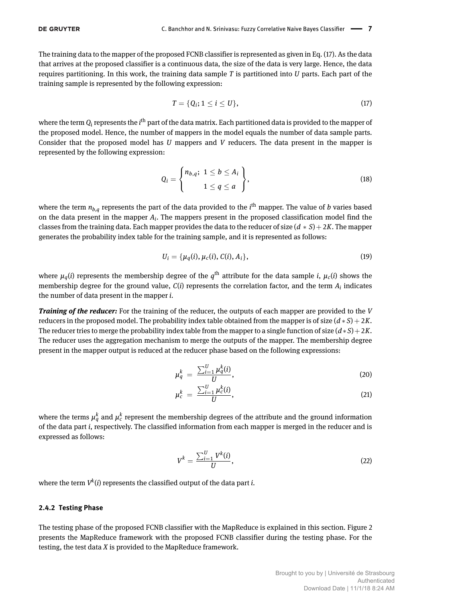The training data to the mapper of the proposed FCNB classifier is represented as given in Eq. (17). As the data that arrives at the proposed classifier is a continuous data, the size of the data is very large. Hence, the data requires partitioning. In this work, the training data sample *T* is partitioned into *U* parts. Each part of the training sample is represented by the following expression:

$$
T = \{Q_i; 1 \leq i \leq U\},\tag{17}
$$

where the term  $Q_{\rm i}$  represents the  $i^{\rm th}$  part of the data matrix. Each partitioned data is provided to the mapper of the proposed model. Hence, the number of mappers in the model equals the number of data sample parts. Consider that the proposed model has *U* mappers and *V* reducers. The data present in the mapper is represented by the following expression:

$$
Q_i = \begin{Bmatrix} n_{b,q}; & 1 \leq b \leq A_i \\ & 1 \leq q \leq a \end{Bmatrix},
$$
\n(18)

where the term  $n_{b,q}$  represents the part of the data provided to the  $i^{\text{th}}$  mapper. The value of  $b$  varies based on the data present in the mapper  $A_i$ . The mappers present in the proposed classification model find the classes from the training data. Each mapper provides the data to the reducer of size  $(d * S) + 2K$ . The mapper generates the probability index table for the training sample, and it is represented as follows:

$$
U_i = \{\mu_q(i), \mu_c(i), C(i), A_i\},\tag{19}
$$

where  $\mu_q(i)$  represents the membership degree of the  $q^{\text{th}}$  attribute for the data sample *i*,  $\mu_c(i)$  shows the membership degree for the ground value, *C*(*i*) represents the correlation factor, and the term *A<sup>i</sup>* indicates the number of data present in the mapper *i*.

*Training of the reducer:* For the training of the reducer, the outputs of each mapper are provided to the *V* reducers in the proposed model. The probability index table obtained from the mapper is of size  $(d * S) + 2K$ . The reducer tries to merge the probability index table from the mapper to a single function of size  $(d * S) + 2K$ . The reducer uses the aggregation mechanism to merge the outputs of the mapper. The membership degree present in the mapper output is reduced at the reducer phase based on the following expressions:

$$
\mu_q^k = \frac{\sum_{i=1}^U \mu_q^k(i)}{U},\tag{20}
$$

$$
\mu_c^k = \frac{\sum_{i=1}^U \mu_c^k(i)}{U},\tag{21}
$$

where the terms  $\mu_q^k$  and  $\mu_c^k$  represent the membership degrees of the attribute and the ground information of the data part *i*, respectively. The classified information from each mapper is merged in the reducer and is expressed as follows:

$$
V^k = \frac{\sum_{i=1}^U V^k(i)}{U},\tag{22}
$$

where the term  $V^k(i)$  represents the classified output of the data part *i*.

#### **2.4.2 Testing Phase**

The testing phase of the proposed FCNB classifier with the MapReduce is explained in this section. Figure 2 presents the MapReduce framework with the proposed FCNB classifier during the testing phase. For the testing, the test data *X* is provided to the MapReduce framework.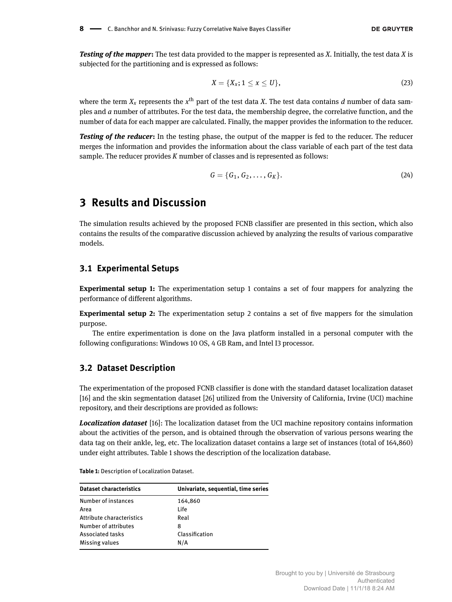*Testing of the mapper***:** The test data provided to the mapper is represented as *X*. Initially, the test data *X* is subjected for the partitioning and is expressed as follows:

$$
X = \{X_x; 1 \le x \le U\},\tag{23}
$$

where the term  $X_x$  represents the  $x^{\text{th}}$  part of the test data *X*. The test data contains *d* number of data samples and *a* number of attributes. For the test data, the membership degree, the correlative function, and the number of data for each mapper are calculated. Finally, the mapper provides the information to the reducer.

**Testing of the reducer:** In the testing phase, the output of the mapper is fed to the reducer. The reducer merges the information and provides the information about the class variable of each part of the test data sample. The reducer provides *K* number of classes and is represented as follows:

$$
G = \{G_1, G_2, \ldots, G_K\}.
$$
 (24)

### **3 Results and Discussion**

The simulation results achieved by the proposed FCNB classifier are presented in this section, which also contains the results of the comparative discussion achieved by analyzing the results of various comparative models.

#### **3.1 Experimental Setups**

**Experimental setup 1:** The experimentation setup 1 contains a set of four mappers for analyzing the performance of different algorithms.

**Experimental setup 2:** The experimentation setup 2 contains a set of five mappers for the simulation purpose.

The entire experimentation is done on the Java platform installed in a personal computer with the following configurations: Windows 10 OS, 4 GB Ram, and Intel I3 processor.

#### **3.2 Dataset Description**

The experimentation of the proposed FCNB classifier is done with the standard dataset localization dataset [16] and the skin segmentation dataset [26] utilized from the University of California, Irvine (UCI) machine repository, and their descriptions are provided as follows:

*Localization dataset* [16]: The localization dataset from the UCI machine repository contains information about the activities of the person, and is obtained through the observation of various persons wearing the data tag on their ankle, leg, etc. The localization dataset contains a large set of instances (total of 164,860) under eight attributes. Table 1 shows the description of the localization database.

| <b>Dataset characteristics</b> | Univariate, sequential, time series |
|--------------------------------|-------------------------------------|
| Number of instances            | 164,860                             |
| Area                           | Life                                |
| Attribute characteristics      | Real                                |
| Number of attributes           | 8                                   |
| <b>Associated tasks</b>        | Classification                      |
| Missing values                 | N/A                                 |

**Table 1:** Description of Localization Dataset.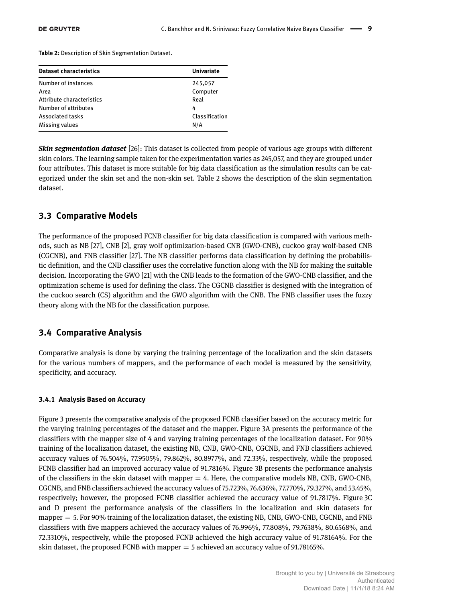**Table 2:** Description of Skin Segmentation Dataset.

| <b>Dataset characteristics</b> | <b>Univariate</b> |
|--------------------------------|-------------------|
| Number of instances            | 245,057           |
| Area                           | Computer          |
| Attribute characteristics      | Real              |
| Number of attributes           | 4                 |
| <b>Associated tasks</b>        | Classification    |
| Missing values                 | N/A               |

*Skin segmentation dataset* [26]: This dataset is collected from people of various age groups with different skin colors. The learning sample taken for the experimentation varies as 245,057, and they are grouped under four attributes. This dataset is more suitable for big data classification as the simulation results can be categorized under the skin set and the non-skin set. Table 2 shows the description of the skin segmentation dataset.

#### **3.3 Comparative Models**

The performance of the proposed FCNB classifier for big data classification is compared with various methods, such as NB [27], CNB [2], gray wolf optimization-based CNB (GWO-CNB), cuckoo gray wolf-based CNB (CGCNB), and FNB classifier [27]. The NB classifier performs data classification by defining the probabilistic definition, and the CNB classifier uses the correlative function along with the NB for making the suitable decision. Incorporating the GWO [21] with the CNB leads to the formation of the GWO-CNB classifier, and the optimization scheme is used for defining the class. The CGCNB classifier is designed with the integration of the cuckoo search (CS) algorithm and the GWO algorithm with the CNB. The FNB classifier uses the fuzzy theory along with the NB for the classification purpose.

#### **3.4 Comparative Analysis**

Comparative analysis is done by varying the training percentage of the localization and the skin datasets for the various numbers of mappers, and the performance of each model is measured by the sensitivity, specificity, and accuracy.

#### **3.4.1 Analysis Based on Accuracy**

Figure 3 presents the comparative analysis of the proposed FCNB classifier based on the accuracy metric for the varying training percentages of the dataset and the mapper. Figure 3A presents the performance of the classifiers with the mapper size of 4 and varying training percentages of the localization dataset. For 90% training of the localization dataset, the existing NB, CNB, GWO-CNB, CGCNB, and FNB classifiers achieved accuracy values of 76.504%, 77.9505%, 79.862%, 80.8977%, and 72.33%, respectively, while the proposed FCNB classifier had an improved accuracy value of 91.7816%. Figure 3B presents the performance analysis of the classifiers in the skin dataset with mapper  $=$  4. Here, the comparative models NB, CNB, GWO-CNB, CGCNB, and FNB classifiers achieved the accuracy values of 75.723%, 76.636%, 77.770%, 79.327%, and 53.45%, respectively; however, the proposed FCNB classifier achieved the accuracy value of 91.7817%. Figure 3C and D present the performance analysis of the classifiers in the localization and skin datasets for mapper = 5. For 90% training of the localization dataset, the existing NB, CNB, GWO-CNB, CGCNB, and FNB classifiers with five mappers achieved the accuracy values of 76.996%, 77.808%, 79.7638%, 80.6568%, and 72.3310%, respectively, while the proposed FCNB achieved the high accuracy value of 91.78164%. For the skin dataset, the proposed FCNB with mapper  $=$  5 achieved an accuracy value of 91.78165%.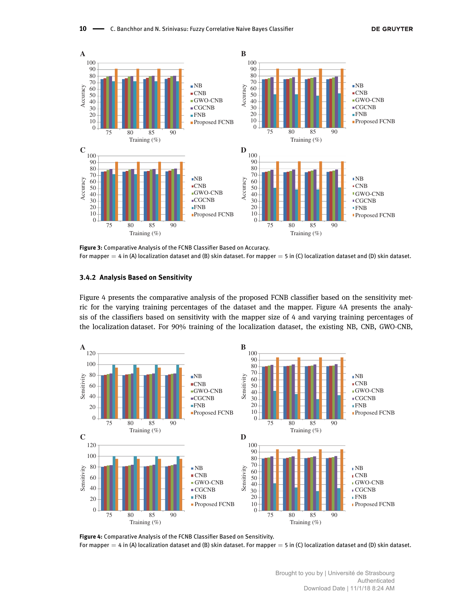

**Figure 3:** Comparative Analysis of the FCNB Classifier Based on Accuracy. For mapper  $=$  4 in (A) localization dataset and (B) skin dataset. For mapper  $=$  5 in (C) localization dataset and (D) skin dataset.

#### **3.4.2 Analysis Based on Sensitivity**

Figure 4 presents the comparative analysis of the proposed FCNB classifier based on the sensitivity metric for the varying training percentages of the dataset and the mapper. Figure 4A presents the analysis of the classifiers based on sensitivity with the mapper size of 4 and varying training percentages of the localization dataset. For 90% training of the localization dataset, the existing NB, CNB, GWO-CNB,



**Figure 4:** Comparative Analysis of the FCNB Classifier Based on Sensitivity. For mapper  $=$  4 in (A) localization dataset and (B) skin dataset. For mapper  $=$  5 in (C) localization dataset and (D) skin dataset.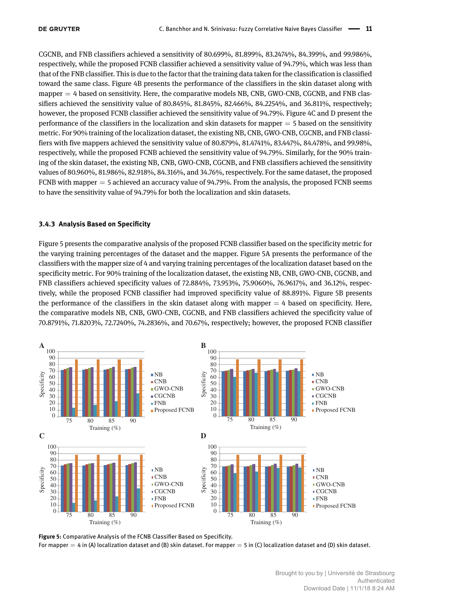CGCNB, and FNB classifiers achieved a sensitivity of 80.699%, 81.899%, 83.2474%, 84.399%, and 99.986%, respectively, while the proposed FCNB classifier achieved a sensitivity value of 94.79%, which was less than that of the FNB classifier. This is due to the factor that the training data taken for the classification is classified toward the same class. Figure 4B presents the performance of the classifiers in the skin dataset along with mapper  $=$  4 based on sensitivity. Here, the comparative models NB, CNB, GWO-CNB, CGCNB, and FNB classifiers achieved the sensitivity value of 80.845%, 81.845%, 82.466%, 84.2254%, and 36.811%, respectively; however, the proposed FCNB classifier achieved the sensitivity value of 94.79%. Figure 4C and D present the performance of the classifiers in the localization and skin datasets for mapper  $= 5$  based on the sensitivity metric. For 90% training of the localization dataset, the existing NB, CNB, GWO-CNB, CGCNB, and FNB classifiers with five mappers achieved the sensitivity value of 80.879%, 81.4741%, 83.447%, 84.478%, and 99.98%, respectively, while the proposed FCNB achieved the sensitivity value of 94.79%. Similarly, for the 90% training of the skin dataset, the existing NB, CNB, GWO-CNB, CGCNB, and FNB classifiers achieved the sensitivity values of 80.960%, 81.986%, 82.918%, 84.316%, and 34.76%, respectively. For the same dataset, the proposed FCNB with mapper  $=$  5 achieved an accuracy value of 94.79%. From the analysis, the proposed FCNB seems to have the sensitivity value of 94.79% for both the localization and skin datasets.

#### **3.4.3 Analysis Based on Specificity**

Figure 5 presents the comparative analysis of the proposed FCNB classifier based on the specificity metric for the varying training percentages of the dataset and the mapper. Figure 5A presents the performance of the classifiers with the mapper size of 4 and varying training percentages of the localization dataset based on the specificity metric. For 90% training of the localization dataset, the existing NB, CNB, GWO-CNB, CGCNB, and FNB classifiers achieved specificity values of 72.884%, 73.953%, 75.9060%, 76.9617%, and 36.12%, respectively, while the proposed FCNB classifier had improved specificity value of 88.891%. Figure 5B presents the performance of the classifiers in the skin dataset along with mapper  $=$  4 based on specificity. Here, the comparative models NB, CNB, GWO-CNB, CGCNB, and FNB classifiers achieved the specificity value of 70.8791%, 71.8203%, 72.7240%, 74.2836%, and 70.67%, respectively; however, the proposed FCNB classifier



**Figure 5:** Comparative Analysis of the FCNB Classifier Based on Specificity. For mapper  $=$  4 in (A) localization dataset and (B) skin dataset. For mapper  $=$  5 in (C) localization dataset and (D) skin dataset.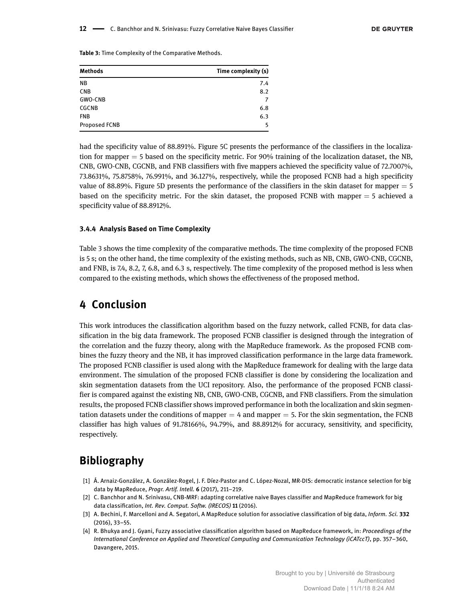**Table 3:** Time Complexity of the Comparative Methods.

| <b>Methods</b>       | Time complexity (s) |
|----------------------|---------------------|
| NΒ                   | 7.4                 |
| <b>CNB</b>           | 8.2                 |
| <b>GWO-CNB</b>       | 7                   |
| CGCNB                | 6.8                 |
| <b>FNB</b>           | 6.3                 |
| <b>Proposed FCNB</b> | 5                   |

had the specificity value of 88.891%. Figure 5C presents the performance of the classifiers in the localization for mapper  $=$  5 based on the specificity metric. For 90% training of the localization dataset, the NB, CNB, GWO-CNB, CGCNB, and FNB classifiers with five mappers achieved the specificity value of 72.7007%, 73.8631%, 75.8758%, 76.991%, and 36.127%, respectively, while the proposed FCNB had a high specificity value of 88.89%. Figure 5D presents the performance of the classifiers in the skin dataset for mapper  $= 5$ based on the specificity metric. For the skin dataset, the proposed FCNB with mapper = 5 achieved a specificity value of 88.8912%.

#### **3.4.4 Analysis Based on Time Complexity**

Table 3 shows the time complexity of the comparative methods. The time complexity of the proposed FCNB is 5 s; on the other hand, the time complexity of the existing methods, such as NB, CNB, GWO-CNB, CGCNB, and FNB, is 7.4, 8.2, 7, 6.8, and 6.3 s, respectively. The time complexity of the proposed method is less when compared to the existing methods, which shows the effectiveness of the proposed method.

## **4 Conclusion**

This work introduces the classification algorithm based on the fuzzy network, called FCNB, for data classification in the big data framework. The proposed FCNB classifier is designed through the integration of the correlation and the fuzzy theory, along with the MapReduce framework. As the proposed FCNB combines the fuzzy theory and the NB, it has improved classification performance in the large data framework. The proposed FCNB classifier is used along with the MapReduce framework for dealing with the large data environment. The simulation of the proposed FCNB classifier is done by considering the localization and skin segmentation datasets from the UCI repository. Also, the performance of the proposed FCNB classifier is compared against the existing NB, CNB, GWO-CNB, CGCNB, and FNB classifiers. From the simulation results, the proposed FCNB classifier shows improved performance in both the localization and skin segmentation datasets under the conditions of mapper  $=$  4 and mapper  $=$  5. For the skin segmentation, the FCNB classifier has high values of 91.78166%, 94.79%, and 88.8912% for accuracy, sensitivity, and specificity, respectively.

# **Bibliography**

- [1] Á. Arnaiz-González, A. González-Rogel, J. F. Díez-Pastor and C. López-Nozal, MR-DIS: democratic instance selection for big data by MapReduce, Progr. Artif. Intell. 6 (2017), 211-219.
- [2] C. Banchhor and N. Srinivasu, CNB-MRF: adapting correlative naive Bayes classifier and MapReduce framework for big data classification, *Int. Rev. Comput. Softw. (IRECOS)* **11** (2016).
- [3] A. Bechini, F. Marcelloni and A. Segatori, A MapReduce solution for associative classification of big data, *Inform. Sci.* **332**  $(2016)$ , 33–55.
- [4] R. Bhukya and J. Gyani, Fuzzy associative classification algorithm based on MapReduce framework, in: *Proceedings of the International Conference on Applied and Theoretical Computing and Communication Technology (iCATccT)*, pp. 357-360, Davangere, 2015.